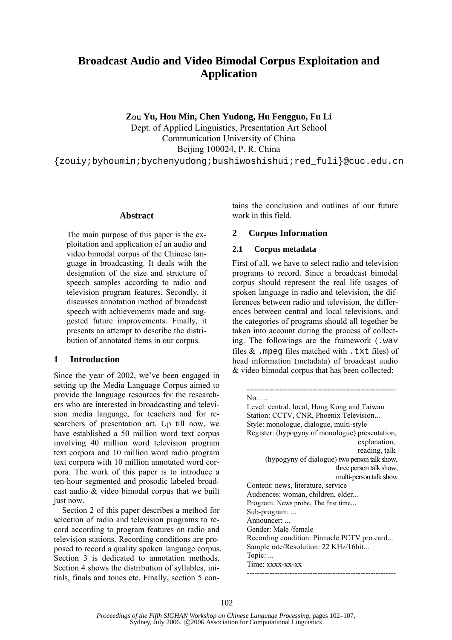# **Broadcast Audio and Video Bimodal Corpus Exploitation and Application**

**Z**ou **Yu, Hou Min, Chen Yudong, Hu Fengguo, Fu Li** 

Dept. of Applied Linguistics, Presentation Art School Communication University of China Beijing 100024, P. R. China

{zouiy;byhoumin;bychenyudong;bushiwoshishui;red\_fuli}@cuc.edu.cn

#### **Abstract**

The main purpose of this paper is the exploitation and application of an audio and video bimodal corpus of the Chinese language in broadcasting. It deals with the designation of the size and structure of speech samples according to radio and television program features. Secondly, it discusses annotation method of broadcast speech with achievements made and suggested future improvements. Finally, it presents an attempt to describe the distribution of annotated items in our corpus.

# **1 Introduction**

Since the year of 2002, we've been engaged in setting up the Media Language Corpus aimed to provide the language resources for the researchers who are interested in broadcasting and television media language, for teachers and for researchers of presentation art. Up till now, we have established a 50 million word text corpus involving 40 million word television program text corpora and 10 million word radio program text corpora with 10 million annotated word corpora. The work of this paper is to introduce a ten-hour segmented and prosodic labeled broadcast audio & video bimodal corpus that we built just now.

Section 2 of this paper describes a method for selection of radio and television programs to record according to program features on radio and television stations. Recording conditions are proposed to record a quality spoken language corpus. Section 3 is dedicated to annotation methods. Section 4 shows the distribution of syllables, initials, finals and tones etc. Finally, section 5 contains the conclusion and outlines of our future work in this field.

# **2 Corpus Information**

### **2.1 Corpus metadata**

First of all, we have to select radio and television programs to record. Since a broadcast bimodal corpus should represent the real life usages of spoken language in radio and television, the differences between radio and television, the differences between central and local televisions, and the categories of programs should all together be taken into account during the process of collecting. The followings are the framework (.wav files  $\&$  . mpeg files matched with . txt files) of head information (metadata) of broadcast audio & video bimodal corpus that has been collected:

| No.:                                            |
|-------------------------------------------------|
| Level: central, local, Hong Kong and Taiwan     |
| Station: CCTV, CNR, Phoenix Television          |
| Style: monologue, dialogue, multi-style         |
| Register: (hypogyny of monologue) presentation, |
| explanation,                                    |
| reading, talk                                   |
| (hypogyny of dialogue) two person talk show,    |
| three person talk show,                         |
| multi-person talk show                          |
| Content: news, literature, service              |
| Audiences: woman, children, elder               |
| Program: News probe, The first time             |
| Sub-program:                                    |
| Announcer:                                      |
| Gender: Male /female                            |
| Recording condition: Pinnacle PCTV pro card     |
| Sample rate/Resolution: 22 KHz/16bit            |
| Topic:                                          |
| Time: xxxx-xx-xx                                |
|                                                 |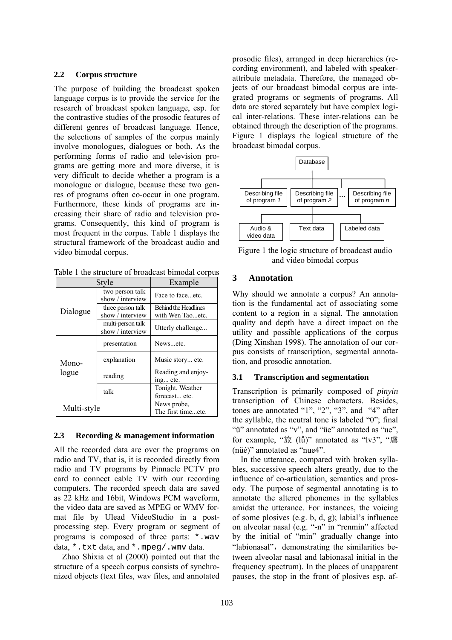#### **2.2 Corpus structure**

The purpose of building the broadcast spoken language corpus is to provide the service for the research of broadcast spoken language, esp. for the contrastive studies of the prosodic features of different genres of broadcast language. Hence, the selections of samples of the corpus mainly involve monologues, dialogues or both. As the performing forms of radio and television programs are getting more and more diverse, it is very difficult to decide whether a program is a monologue or dialogue, because these two genres of programs often co-occur in one program. Furthermore, these kinds of programs are increasing their share of radio and television programs. Consequently, this kind of program is most frequent in the corpus. Table 1 displays the structural framework of the broadcast audio and video bimodal corpus.

Table 1 the structure of broadcast bimodal corpus

| Style          |                                       | Example                     |
|----------------|---------------------------------------|-----------------------------|
|                | two person talk<br>show / interview   | Face to faceetc.            |
| Dialogue       | three person talk                     | <b>Behind the Headlines</b> |
|                | show / interview                      | with Wen Taoetc.            |
|                | multi-person talk<br>show / interview | Utterly challenge           |
| Mono-<br>logue | presentation                          | Newsetc.                    |
|                | explanation                           | Music story etc.            |
|                | reading                               | Reading and enjoy-          |
|                |                                       | ing etc.                    |
|                | talk                                  | Tonight, Weather            |
|                |                                       | forecast etc.               |
| Multi-style    |                                       | News probe,                 |
|                |                                       | The first timeetc.          |

### **2.3 Recording & management information**

All the recorded data are over the programs on radio and TV, that is, it is recorded directly from radio and TV programs by Pinnacle PCTV pro card to connect cable TV with our recording computers. The recorded speech data are saved as 22 kHz and 16bit, Windows PCM waveform, the video data are saved as MPEG or WMV format file by Ulead VideoStudio in a postprocessing step. Every program or segment of programs is composed of three parts: \*.wav data, \*.txt data, and \*.mpeg/.wmv data.

Zhao Shixia et al (2000) pointed out that the structure of a speech corpus consists of synchronized objects (text files, wav files, and annotated prosodic files), arranged in deep hierarchies (recording environment), and labeled with speakerattribute metadata. Therefore, the managed objects of our broadcast bimodal corpus are integrated programs or segments of programs. All data are stored separately but have complex logical inter-relations. These inter-relations can be obtained through the description of the programs. Figure 1 displays the logical structure of the broadcast bimodal corpus.



Figure 1 the logic structure of broadcast audio and video bimodal corpus

# **3 Annotation**

Why should we annotate a corpus? An annotation is the fundamental act of associating some content to a region in a signal. The annotation quality and depth have a direct impact on the utility and possible applications of the corpus (Ding Xinshan 1998). The annotation of our corpus consists of transcription, segmental annotation, and prosodic annotation.

### **3.1 Transcription and segmentation**

Transcription is primarily composed of *pinyin* transcription of Chinese characters. Besides, tones are annotated "1", "2", "3", and "4" after the syllable, the neutral tone is labeled "0"; final "ü" annotated as "v", and "üe" annotated as "ue", for example, "旅 (lǚ)" annotated as "lv3", "虐 (nüè)" annotated as "nue4".

In the utterance, compared with broken syllables, successive speech alters greatly, due to the influence of co-articulation, semantics and prosody. The purpose of segmental annotating is to annotate the altered phonemes in the syllables amidst the utterance. For instances, the voicing of some plosives (e.g. b, d, g); labial's influence on alveolar nasal (e.g. "-n" in "renmin" affected by the initial of "min" gradually change into "labionasal", demonstrating the similarities between alveolar nasal and labionasal initial in the frequency spectrum). In the places of unapparent pauses, the stop in the front of plosives esp. af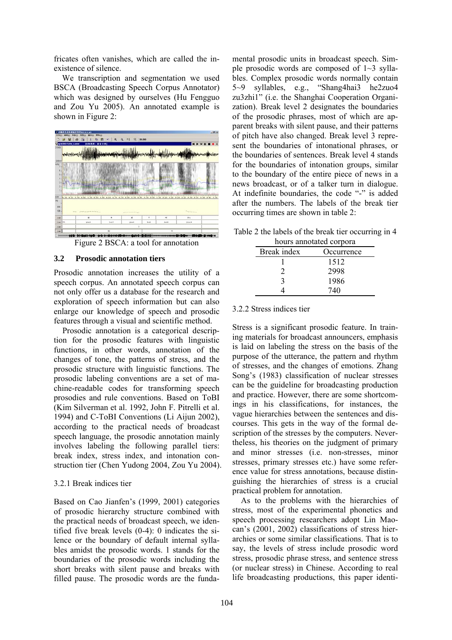fricates often vanishes, which are called the inexistence of silence.

We transcription and segmentation we used BSCA (Broadcasting Speech Corpus Annotator) which was designed by ourselves (Hu Fengguo and Zou Yu 2005). An annotated example is shown in Figure 2:



Figure 2 BSCA: a tool for annotation

#### **3.2 Prosodic annotation tiers**

Prosodic annotation increases the utility of a speech corpus. An annotated speech corpus can not only offer us a database for the research and exploration of speech information but can also enlarge our knowledge of speech and prosodic features through a visual and scientific method.

Prosodic annotation is a categorical description for the prosodic features with linguistic functions, in other words, annotation of the changes of tone, the patterns of stress, and the prosodic structure with linguistic functions. The prosodic labeling conventions are a set of machine-readable codes for transforming speech prosodies and rule conventions. Based on ToBI (Kim Silverman et al. 1992, John F. Pitrelli et al. 1994) and C-ToBI Conventions (Li Aijun 2002), according to the practical needs of broadcast speech language, the prosodic annotation mainly involves labeling the following parallel tiers: break index, stress index, and intonation construction tier (Chen Yudong 2004, Zou Yu 2004).

### 3.2.1 Break indices tier

Based on Cao Jianfen's (1999, 2001) categories of prosodic hierarchy structure combined with the practical needs of broadcast speech, we identified five break levels (0-4): 0 indicates the silence or the boundary of default internal syllables amidst the prosodic words. 1 stands for the boundaries of the prosodic words including the short breaks with silent pause and breaks with filled pause. The prosodic words are the fundamental prosodic units in broadcast speech. Simple prosodic words are composed of  $1~3$  syllables. Complex prosodic words normally contain 5~9 syllables, e.g., "Shang4hai3 he2zuo4 zu3zhi1" (i.e. the Shanghai Cooperation Organization). Break level 2 designates the boundaries of the prosodic phrases, most of which are apparent breaks with silent pause, and their patterns of pitch have also changed. Break level 3 represent the boundaries of intonational phrases, or the boundaries of sentences. Break level 4 stands for the boundaries of intonation groups, similar to the boundary of the entire piece of news in a news broadcast, or of a talker turn in dialogue. At indefinite boundaries, the code "-" is added after the numbers. The labels of the break tier occurring times are shown in table 2:

Table 2 the labels of the break tier occurring in 4 hours annotated corpora

| Break index | Occurrence |
|-------------|------------|
|             | 1512       |
|             | 2998       |
| 3           | 1986       |
|             | 740        |

#### 3.2.2 Stress indices tier

Stress is a significant prosodic feature. In training materials for broadcast announcers, emphasis is laid on labeling the stress on the basis of the purpose of the utterance, the pattern and rhythm of stresses, and the changes of emotions. Zhang Song's (1983) classification of nuclear stresses can be the guideline for broadcasting production and practice. However, there are some shortcomings in his classifications, for instances, the vague hierarchies between the sentences and discourses. This gets in the way of the formal description of the stresses by the computers. Nevertheless, his theories on the judgment of primary and minor stresses (i.e. non-stresses, minor stresses, primary stresses etc.) have some reference value for stress annotations, because distinguishing the hierarchies of stress is a crucial practical problem for annotation.

As to the problems with the hierarchies of stress, most of the experimental phonetics and speech processing researchers adopt Lin Maocan's (2001, 2002) classifications of stress hierarchies or some similar classifications. That is to say, the levels of stress include prosodic word stress, prosodic phrase stress, and sentence stress (or nuclear stress) in Chinese. According to real life broadcasting productions, this paper identi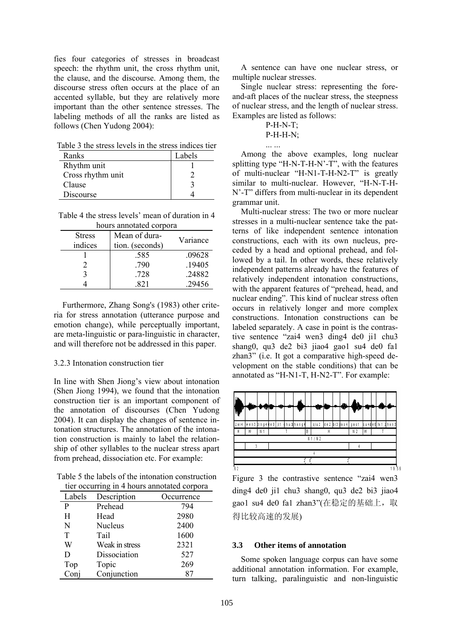fies four categories of stresses in broadcast speech: the rhythm unit, the cross rhythm unit, the clause, and the discourse. Among them, the discourse stress often occurs at the place of an accented syllable, but they are relatively more important than the other sentence stresses. The labeling methods of all the ranks are listed as follows (Chen Yudong 2004):

Table 3 the stress levels in the stress indices tier

| Ranks             | Labels |
|-------------------|--------|
| Rhythm unit       |        |
| Cross rhythm unit |        |
| Clause            |        |
| Discourse         |        |

Table 4 the stress levels' mean of duration in 4 hours annotated corpora

| nours annoiated corpora |                 |          |  |
|-------------------------|-----------------|----------|--|
| <b>Stress</b>           | Mean of dura-   | Variance |  |
| indices                 | tion. (seconds) |          |  |
|                         | .585            | .09628   |  |
|                         | .790            | .19405   |  |
| 3                       | .728            | .24882   |  |
|                         | 821             | .29456   |  |

Furthermore, Zhang Song's (1983) other criteria for stress annotation (utterance purpose and emotion change), while perceptually important, are meta-linguistic or para-linguistic in character, and will therefore not be addressed in this paper.

### 3.2.3 Intonation construction tier

In line with Shen Jiong's view about intonation (Shen Jiong 1994), we found that the intonation construction tier is an important component of the annotation of discourses (Chen Yudong 2004). It can display the changes of sentence intonation structures. The annotation of the intonation construction is mainly to label the relationship of other syllables to the nuclear stress apart from prehead, dissociation etc. For example:

Table 5 the labels of the intonation construction tier occurring in 4 hours annotated corpora

| Labels | Description    | Occurrence |
|--------|----------------|------------|
| P      | Prehead        | 794        |
| H      | Head           | 2980       |
| N      | <b>Nucleus</b> | 2400       |
| T      | Tail           | 1600       |
| W      | Weak in stress | 2321       |
| D      | Dissociation   | 527        |
| Top    | Topic          | 269        |
| Conj   | Conjunction    | 87         |

A sentence can have one nuclear stress, or multiple nuclear stresses.

Single nuclear stress: representing the foreand-aft places of the nuclear stress, the steepness of nuclear stress, and the length of nuclear stress. Examples are listed as follows:

... ...

P-H-H-N;

Among the above examples, long nuclear splitting type "H-N-T-H-N'-T", with the features of multi-nuclear "H-N1-T-H-N2-T" is greatly similar to multi-nuclear. However, "H-N-T-H-N'-T" differs from multi-nuclear in its dependent grammar unit.

Multi-nuclear stress: The two or more nuclear stresses in a multi-nuclear sentence take the patterns of like independent sentence intonation constructions, each with its own nucleus, preceded by a head and optional prehead, and followed by a tail. In other words, these relatively independent patterns already have the features of relatively independent intonation constructions, with the apparent features of "prehead, head, and nuclear ending". This kind of nuclear stress often occurs in relatively longer and more complex constructions. Intonation constructions can be labeled separately. A case in point is the contrastive sentence "zai4 wen3 ding4 de0 ji1 chu3 shang0, qu3 de2 bi3 jiao4 gao1 su4 de0 fa1 zhan3" (i.e. It got a comparative high-speed development on the stable conditions) that can be annotated as "H-N1-T, H-N2-T". For example:



Figure 3 the contrastive sentence "zai4 wen3 ding4 de0 ji1 chu3 shang0, qu3 de2 bi3 jiao4 gao1 su4 de0 fa1 zhan3"(在稳定的基础上, 取 得比较高速的发展)

### **3.3 Other items of annotation**

Some spoken language corpus can have some additional annotation information. For example, turn talking, paralinguistic and non-linguistic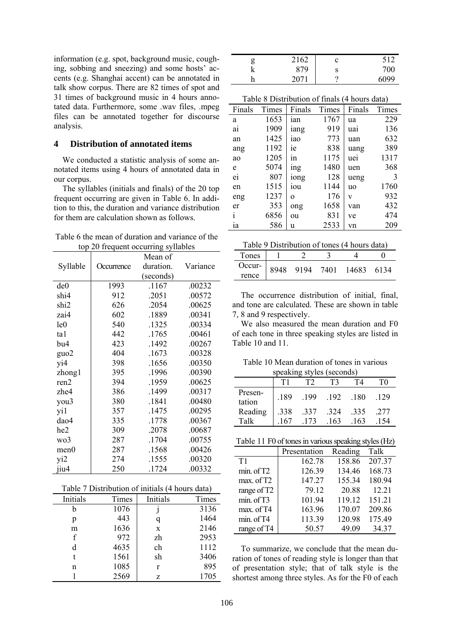information (e.g. spot, background music, coughing, sobbing and sneezing) and some hosts' accents (e.g. Shanghai accent) can be annotated in talk show corpus. There are 82 times of spot and 31 times of background music in 4 hours annotated data. Furthermore, some .wav files, .mpeg files can be annotated together for discourse analysis.

#### **Distribution of annotated items**  $\overline{\mathbf{4}}$

We conducted a statistic analysis of some annotated items using 4 hours of annotated data in our corpus.

The syllables (initials and finals) of the 20 top frequent occurring are given in Table 6. In addition to this, the duration and variance distribution for them are calculation shown as follows.

| Table 6 the mean of duration and variance of the |  |
|--------------------------------------------------|--|
| top 20 frequent occurring syllables              |  |

|                  |            | Mean of   |          |
|------------------|------------|-----------|----------|
| Syllable         | Occurrence | duration. | Variance |
|                  |            | (seconds) |          |
| de <sub>0</sub>  | 1993       | .1167     | .00232   |
| shi4             | 912        | .2051     | .00572   |
| shi <sub>2</sub> | 626        | .2054     | .00625   |
| zai4             | 602        | .1889     | .00341   |
| le0              | 540        | .1325     | .00334   |
| ta1              | 442        | .1765     | .00461   |
| bu4              | 423        | .1492     | .00267   |
| guo2             | 404        | .1673     | .00328   |
| yi4              | 398        | .1656     | .00350   |
| zhong1           | 395        | .1996     | .00390   |
| ren2             | 394        | .1959     | .00625   |
| zhe4             | 386        | .1499     | .00317   |
| you3             | 380        | .1841     | .00480   |
| yi1              | 357        | .1475     | .00295   |
| dao4             | 335        | .1778     | .00367   |
| he <sub>2</sub>  | 309        | .2078     | .00687   |
| wo3              | 287        | .1704     | .00755   |
| men0             | 287        | .1568     | .00426   |
| yi2              | 274        | .1555     | .00320   |
| jiu4             | 250        | .1724     | .00332   |

| Initials | Times | Initials | Times |
|----------|-------|----------|-------|
| h        | 1076  |          | 3136  |
| p        | 443   | q        | 1464  |
| m        | 1636  | X        | 2146  |
| f        | 972   | zh       | 2953  |
| d        | 4635  | ch       | 1112  |
|          | 1561  | sh       | 3406  |
| n        | 1085  | r        | 895   |
|          | 2569  | Z        | 1705  |

| g | 2162 | c | 512  |
|---|------|---|------|
| V | 879  | S | 700  |
| n | 2071 | റ | 6099 |

| Finals | Times | Finals   | Times | Finals    | Times |
|--------|-------|----------|-------|-----------|-------|
| a      | 1653  | ian      | 1767  | ua        | 229   |
| ai     | 1909  | iang     | 919   | uai       | 136   |
| an     | 1425  | iao      | 773   | uan       | 632   |
| ang    | 1192  | ie       | 838   | uang      | 389   |
| ao     | 1205  | 1n       | 1175  | uei       | 1317  |
| e      | 5074  | ing      | 1480  | uen       | 368   |
| ei     | 807   | iong     | 128   | ueng      | 3     |
| en     | 1515  | iou      | 1144  | <b>uo</b> | 1760  |
| eng    | 1237  | $\Omega$ | 176   | V         | 932   |
| er     | 353   | ong      | 1658  | van       | 432   |
| i      | 6856  | ou       | 831   | ve        | 474   |
| ia     | 586   | u        | 2533  | vn        | 209   |

|  | Table 9 Distribution of tones (4 hours data) |
|--|----------------------------------------------|
|  |                                              |

| Tones           |  |                      |      |
|-----------------|--|----------------------|------|
| Occur-<br>rence |  | 8948 9194 7401 14683 | 6134 |
|                 |  |                      |      |

The occurrence distribution of initial, final, and tone are calculated. These are shown in table 7, 8 and 9 respectively.

We also measured the mean duration and F0 of each tone in three speaking styles are listed in Table 10 and 11.

Table 10 Mean duration of tones in various speaking styles (seconds)

|                   |      |      |      | Г4   | ΓO   |
|-------------------|------|------|------|------|------|
| Presen-<br>tation | .189 | .199 | .192 | .180 | .129 |
| Reading           | .338 | .337 | .324 | .335 | .277 |
| Talk              | 167  | 173  | .163 | 163  |      |

|  |  |  |  |  |  |  | Table 11 F0 of tones in various speaking styles (Hz) |  |  |  |  |  |  |
|--|--|--|--|--|--|--|------------------------------------------------------|--|--|--|--|--|--|
|--|--|--|--|--|--|--|------------------------------------------------------|--|--|--|--|--|--|

|                         | Presentation | Reading | Talk   |
|-------------------------|--------------|---------|--------|
| T1                      | 162.78       | 158.86  | 207.37 |
| min. of T2              | 126.39       | 134.46  | 168.73 |
| max. of T2              | 147.27       | 155.34  | 180.94 |
| range of T <sub>2</sub> | 79.12        | 20.88   | 12.21  |
| min. of T3              | 101.94       | 119.12  | 151.21 |
| max. of T4              | 163.96       | 170.07  | 209.86 |
| min. of T4              | 113.39       | 120.98  | 175.49 |
| range of T4             | 50.57        | 49.09   | 34.37  |

To summarize, we conclude that the mean duration of tones of reading style is longer than that of presentation style; that of talk style is the shortest among three styles. As for the F0 of each